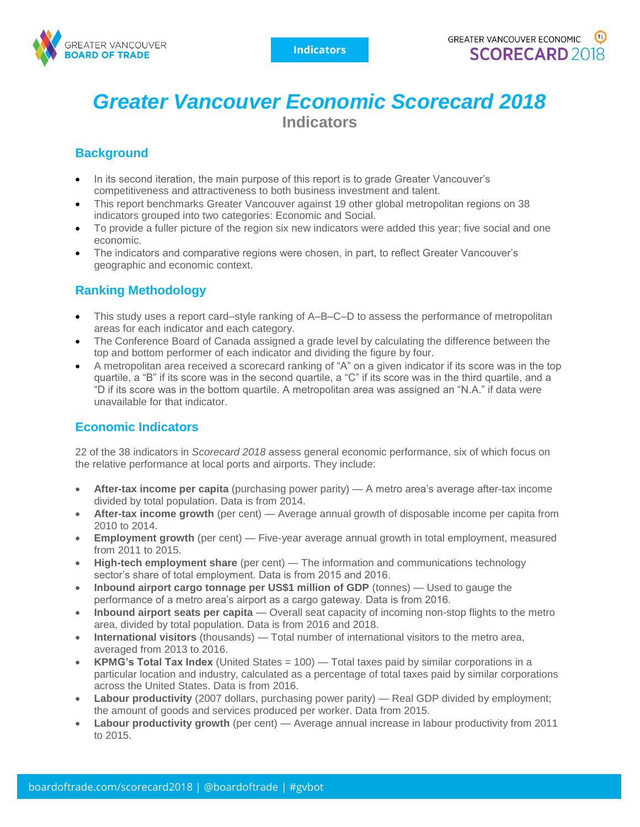

# *Greater Vancouver Economic Scorecard 2018*  **Indicators**

## **Background**

- In its second iteration, the main purpose of this report is to grade Greater Vancouver's competitiveness and attractiveness to both business investment and talent.
- This report benchmarks Greater Vancouver against 19 other global metropolitan regions on 38 indicators grouped into two categories: Economic and Social.
- To provide a fuller picture of the region six new indicators were added this year; five social and one economic.
- The indicators and comparative regions were chosen, in part, to reflect Greater Vancouver's geographic and economic context.

### **Ranking Methodology**

- This study uses a report card–style ranking of A–B–C–D to assess the performance of metropolitan areas for each indicator and each category.
- The Conference Board of Canada assigned a grade level by calculating the difference between the top and bottom performer of each indicator and dividing the figure by four.
- A metropolitan area received a scorecard ranking of "A" on a given indicator if its score was in the top quartile, a "B" if its score was in the second quartile, a "C" if its score was in the third quartile, and a "D if its score was in the bottom quartile. A metropolitan area was assigned an "N.A." if data were unavailable for that indicator.

#### **Economic Indicators**

22 of the 38 indicators in *Scorecard 2018* assess general economic performance, six of which focus on the relative performance at local ports and airports. They include:

- **After-tax income per capita** (purchasing power parity) A metro area's average after-tax income divided by total population. Data is from 2014.
- **After-tax income growth** (per cent) Average annual growth of disposable income per capita from 2010 to 2014.
- **Employment growth** (per cent) Five-year average annual growth in total employment, measured from 2011 to 2015.
- **High-tech employment share** (per cent) The information and communications technology sector's share of total employment. Data is from 2015 and 2016.
- **Inbound airport cargo tonnage per US\$1 million of GDP** (tonnes) Used to gauge the performance of a metro area's airport as a cargo gateway. Data is from 2016.
- **Inbound airport seats per capita** Overall seat capacity of incoming non-stop flights to the metro area, divided by total population. Data is from 2016 and 2018.
- **International visitors** (thousands) Total number of international visitors to the metro area, averaged from 2013 to 2016.
- **KPMG's Total Tax Index** (United States = 100) Total taxes paid by similar corporations in a particular location and industry, calculated as a percentage of total taxes paid by similar corporations across the United States. Data is from 2016.
- **Labour productivity** (2007 dollars, purchasing power parity) Real GDP divided by employment; the amount of goods and services produced per worker. Data from 2015.
- **Labour productivity growth** (per cent) Average annual increase in labour productivity from 2011 to 2015.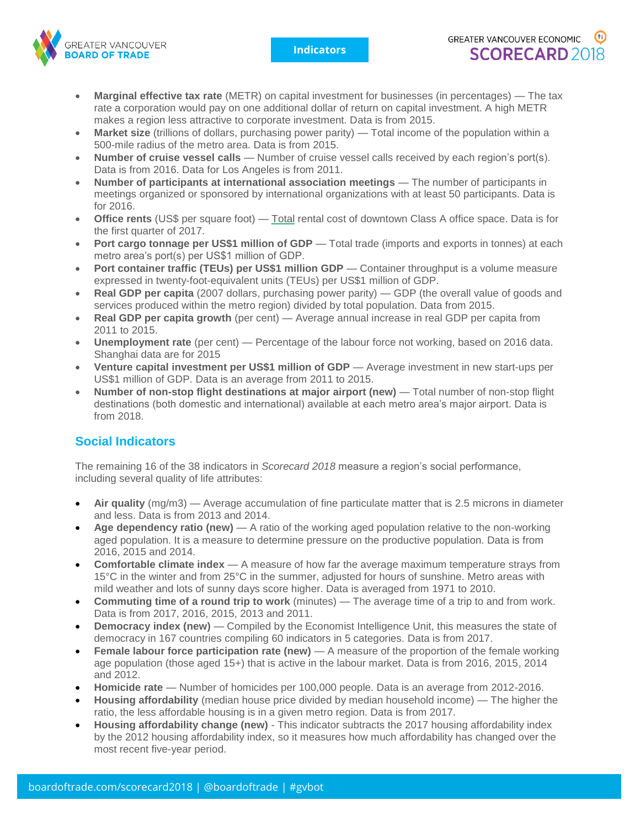**Indicators**



- **Marginal effective tax rate** (METR) on capital investment for businesses (in percentages) The tax rate a corporation would pay on one additional dollar of return on capital investment. A high METR makes a region less attractive to corporate investment. Data is from 2015.
- **Market size** (trillions of dollars, purchasing power parity) Total income of the population within a 500-mile radius of the metro area. Data is from 2015.
- **Number of cruise vessel calls** Number of cruise vessel calls received by each region's port(s). Data is from 2016. Data for Los Angeles is from 2011.
- **Number of participants at international association meetings** The number of participants in meetings organized or sponsored by international organizations with at least 50 participants. Data is for 2016.
- **Office rents** (US\$ per square foot) Total rental cost of downtown Class A office space. Data is for the first quarter of 2017.
- **Port cargo tonnage per US\$1 million of GDP** Total trade (imports and exports in tonnes) at each metro area's port(s) per US\$1 million of GDP.
- **Port container traffic (TEUs) per US\$1 million GDP** Container throughput is a volume measure expressed in twenty-foot-equivalent units (TEUs) per US\$1 million of GDP.
- **Real GDP per capita** (2007 dollars, purchasing power parity) GDP (the overall value of goods and services produced within the metro region) divided by total population. Data from 2015.
- **Real GDP per capita growth** (per cent) Average annual increase in real GDP per capita from 2011 to 2015.
- **Unemployment rate** (per cent) Percentage of the labour force not working, based on 2016 data. Shanghai data are for 2015
- **Venture capital investment per US\$1 million of GDP** Average investment in new start-ups per US\$1 million of GDP. Data is an average from 2011 to 2015.
- **Number of non-stop flight destinations at major airport (new)** Total number of non-stop flight destinations (both domestic and international) available at each metro area's major airport. Data is from 2018.

## **Social Indicators**

The remaining 16 of the 38 indicators in *Scorecard 2018* measure a region's social performance, including several quality of life attributes:

- **Air quality** (mg/m3) Average accumulation of fine particulate matter that is 2.5 microns in diameter and less. Data is from 2013 and 2014.
- **Age dependency ratio (new)** A ratio of the working aged population relative to the non-working aged population. It is a measure to determine pressure on the productive population. Data is from 2016, 2015 and 2014.
- **Comfortable climate index** A measure of how far the average maximum temperature strays from 15°C in the winter and from 25°C in the summer, adjusted for hours of sunshine. Metro areas with mild weather and lots of sunny days score higher. Data is averaged from 1971 to 2010.
- **Commuting time of a round trip to work** (minutes) The average time of a trip to and from work. Data is from 2017, 2016, 2015, 2013 and 2011.
- **Democracy index (new)** Compiled by the Economist Intelligence Unit, this measures the state of democracy in 167 countries compiling 60 indicators in 5 categories. Data is from 2017.
- **Female labour force participation rate (new)** A measure of the proportion of the female working age population (those aged 15+) that is active in the labour market. Data is from 2016, 2015, 2014 and 2012.
- **Homicide rate** Number of homicides per 100,000 people. Data is an average from 2012-2016.
- **Housing affordability** (median house price divided by median household income) The higher the ratio, the less affordable housing is in a given metro region. Data is from 2017.
- **Housing affordability change (new)** This indicator subtracts the 2017 housing affordability index by the 2012 housing affordability index, so it measures how much affordability has changed over the most recent five-year period.